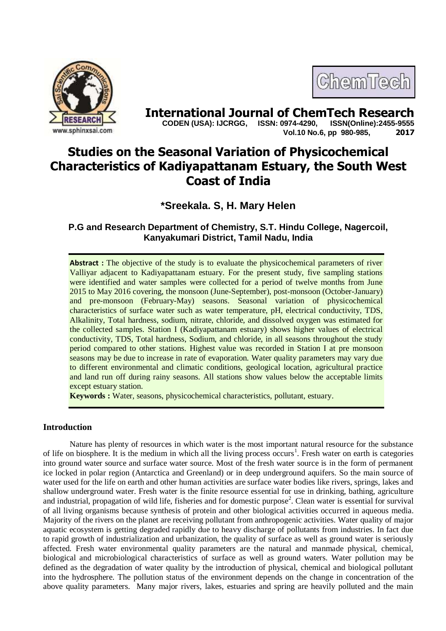



**International Journal of ChemTech Research**<br>CODEN (USA): IJCRGG. ISSN: 0974-4290. ISSN(Online):2455-9555  **CODEN (USA): IJCRGG, ISSN: 0974-4290, Vol.10 No.6, pp 980-985, 2017**

# **Studies on the Seasonal Variation of Physicochemical Characteristics of Kadiyapattanam Estuary, the South West Coast of India**

**\*Sreekala. S, H. Mary Helen**

**P.G and Research Department of Chemistry, S.T. Hindu College, Nagercoil, Kanyakumari District, Tamil Nadu, India**

**Abstract :** The objective of the study is to evaluate the physicochemical parameters of river Valliyar adjacent to Kadiyapattanam estuary. For the present study, five sampling stations were identified and water samples were collected for a period of twelve months from June 2015 to May 2016 covering, the monsoon (June-September), post-monsoon (October-January) and pre-monsoon (February-May) seasons. Seasonal variation of physicochemical characteristics of surface water such as water temperature, pH, electrical conductivity, TDS, Alkalinity, Total hardness, sodium, nitrate, chloride, and dissolved oxygen was estimated for the collected samples. Station I (Kadiyapattanam estuary) shows higher values of electrical conductivity, TDS, Total hardness, Sodium, and chloride, in all seasons throughout the study period compared to other stations. Highest value was recorded in Station I at pre monsoon seasons may be due to increase in rate of evaporation. Water quality parameters may vary due to different environmental and climatic conditions, geological location, agricultural practice and land run off during rainy seasons. All stations show values below the acceptable limits except estuary station.

**Keywords :** Water, seasons, physicochemical characteristics, pollutant, estuary.

## **Introduction**

Nature has plenty of resources in which water is the most important natural resource for the substance of life on biosphere. It is the medium in which all the living process occurs<sup>1</sup>. Fresh water on earth is categories into ground water source and surface water source. Most of the fresh water source is in the form of permanent ice locked in polar region (Antarctica and Greenland) or in deep underground aquifers. So the main source of water used for the life on earth and other human activities are surface water bodies like rivers, springs, lakes and shallow underground water. Fresh water is the finite resource essential for use in drinking, bathing, agriculture and industrial, propagation of wild life, fisheries and for domestic purpose<sup>2</sup>. Clean water is essential for survival of all living organisms because synthesis of protein and other biological activities occurred in aqueous media. Majority of the rivers on the planet are receiving pollutant from anthropogenic activities. Water quality of major aquatic ecosystem is getting degraded rapidly due to heavy discharge of pollutants from industries. In fact due to rapid growth of industrialization and urbanization, the quality of surface as well as ground water is seriously affected. Fresh water environmental quality parameters are the natural and manmade physical, chemical, biological and microbiological characteristics of surface as well as ground waters. Water pollution may be defined as the degradation of water quality by the introduction of physical, chemical and biological pollutant into the hydrosphere. The pollution status of the environment depends on the change in concentration of the above quality parameters. Many major rivers, lakes, estuaries and spring are heavily polluted and the main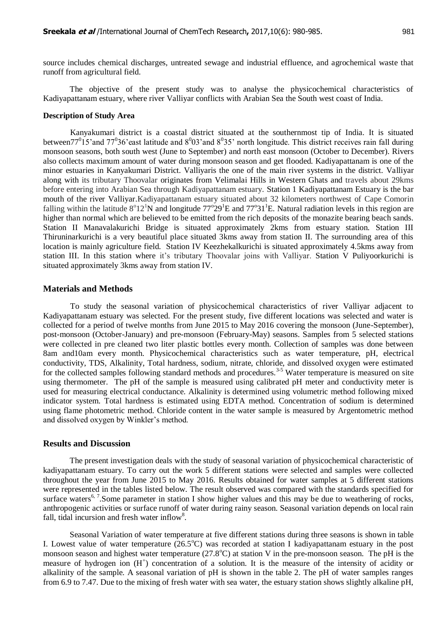source includes chemical discharges, untreated sewage and industrial effluence, and agrochemical waste that runoff from agricultural field.

The objective of the present study was to analyse the physicochemical characteristics of Kadiyapattanam estuary, where river Valliyar conflicts with Arabian Sea the South west coast of India.

#### **Description of Study Area**

Kanyakumari district is a coastal district situated at the southernmost tip of India. It is situated between $77^0$ 15'and  $77^0$ 36'east latitude and  $8^0$ 03'and  $8^0$ 35' north longitude. This district receives rain fall during monsoon seasons, both south west (June to September) and north east monsoon (October to December). Rivers also collects maximum amount of water during monsoon season and get flooded. Kadiyapattanam is one of the minor estuaries in Kanyakumari District. Valliyaris the one of the main river systems in the district. Valliyar along with its tributary Thoovalar originates from Velimalai Hills in Western Ghats and travels about 29kms before entering into Arabian Sea through Kadiyapattanam estuary. Station 1 Kadiyapattanam Estuary is the bar mouth of the river Valliyar.Kadiyapattanam estuary situated about 32 kilometers northwest of Cape Comorin falling within the latitude  $8^{\circ}12^1$ N and longitude  $77^{\circ}29^1$ E and  $77^{\circ}31^1$ E. Natural radiation levels in this region are higher than normal which are believed to be emitted from the rich deposits of the monazite bearing beach sands. Station II Manavalakurichi Bridge is situated approximately 2kms from estuary station. Station III Thiruninarkurichi is a very beautiful place situated 3kms away from station II. The surrounding area of this location is mainly agriculture field. Station IV Keezhekalkurichi is situated approximately 4.5kms away from station III. In this station where it's tributary Thoovalar joins with Valliyar. Station V Puliyoorkurichi is situated approximately 3kms away from station IV.

#### **Materials and Methods**

To study the seasonal variation of physicochemical characteristics of river Valliyar adjacent to Kadiyapattanam estuary was selected. For the present study, five different locations was selected and water is collected for a period of twelve months from June 2015 to May 2016 covering the monsoon (June-September), post-monsoon (October-January) and pre-monsoon (February-May) seasons. Samples from 5 selected stations were collected in pre cleaned two liter plastic bottles every month. Collection of samples was done between 8am and10am every month. Physicochemical characteristics such as water temperature, pH, electrical conductivity, TDS, Alkalinity, Total hardness, sodium, nitrate, chloride, and dissolved oxygen were estimated for the collected samples following standard methods and procedures.<sup>3-5</sup> Water temperature is measured on site using thermometer. The pH of the sample is measured using calibrated pH meter and conductivity meter is used for measuring electrical conductance. Alkalinity is determined using volumetric method following mixed indicator system. Total hardness is estimated using EDTA method. Concentration of sodium is determined using flame photometric method. Chloride content in the water sample is measured by Argentometric method and dissolved oxygen by Winkler's method.

#### **Results and Discussion**

The present investigation deals with the study of seasonal variation of physicochemical characteristic of kadiyapattanam estuary. To carry out the work 5 different stations were selected and samples were collected throughout the year from June 2015 to May 2016. Results obtained for water samples at 5 different stations were represented in the tables listed below. The result observed was compared with the standards specified for surface waters<sup>6, 7</sup>. Some parameter in station I show higher values and this may be due to weathering of rocks, anthropogenic activities or surface runoff of water during rainy season. Seasonal variation depends on local rain fall, tidal incursion and fresh water inflow $8$ .

Seasonal Variation of water temperature at five different stations during three seasons is shown in table I. Lowest value of water temperature  $(26.5^{\circ}\text{C})$  was recorded at station I kadiyapattanam estuary in the post monsoon season and highest water temperature  $(27.8^{\circ}\text{C})$  at station V in the pre-monsoon season. The pH is the measure of hydrogen ion (H<sup>+</sup>) concentration of a solution. It is the measure of the intensity of acidity or alkalinity of the sample. A seasonal variation of pH is shown in the table 2. The pH of water samples ranges from 6.9 to 7.47. Due to the mixing of fresh water with sea water, the estuary station shows slightly alkaline pH,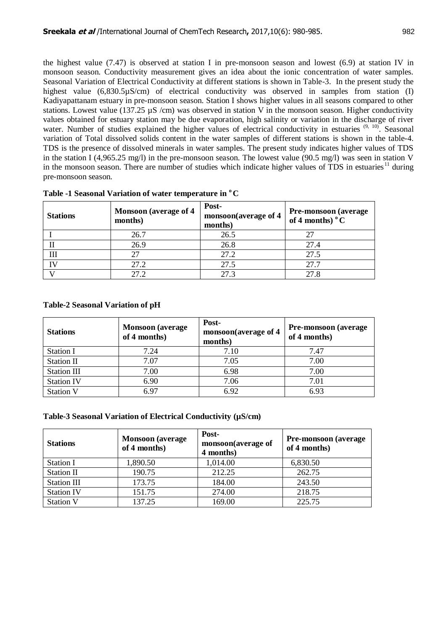the highest value (7.47) is observed at station I in pre-monsoon season and lowest (6.9) at station IV in monsoon season. Conductivity measurement gives an idea about the ionic concentration of water samples. Seasonal Variation of Electrical Conductivity at different stations is shown in Table-3. In the present study the highest value (6,830.5µS/cm) of electrical conductivity was observed in samples from station (I) Kadiyapattanam estuary in pre-monsoon season. Station I shows higher values in all seasons compared to other stations. Lowest value (137.25  $\mu$ S /cm) was observed in station V in the monsoon season. Higher conductivity values obtained for estuary station may be due evaporation, high salinity or variation in the discharge of river water. Number of studies explained the higher values of electrical conductivity in estuaries  $(9, 10)$ . Seasonal variation of Total dissolved solids content in the water samples of different stations is shown in the table-4. TDS is the presence of dissolved minerals in water samples. The present study indicates higher values of TDS in the station I (4,965.25 mg/l) in the pre-monsoon season. The lowest value (90.5 mg/l) was seen in station V in the monsoon season. There are number of studies which indicate higher values of TDS in estuaries<sup>11</sup> during pre-monsoon season.

| <b>Stations</b> | <b>Monsoon</b> (average of 4)<br>months) | Post-<br>monsoon(average of 4<br>months) | <b>Pre-monsoon</b> (average<br>of 4 months) $\mathrm{^{\circ}C}$ |
|-----------------|------------------------------------------|------------------------------------------|------------------------------------------------------------------|
|                 | 26.7                                     | 26.5                                     |                                                                  |
|                 | 26.9                                     | 26.8                                     | 27.4                                                             |
| Ш               | 27                                       | 27.2                                     | 27.5                                                             |
| ľV              | 27.2                                     | 27.5                                     | 27.7                                                             |
|                 | 27.2                                     | 273                                      | 27.8                                                             |

**Table -1 Seasonal Variation of water temperature in <sup>o</sup>C**

### **Table-2 Seasonal Variation of pH**

| <b>Stations</b>   | <b>Monsoon</b> (average<br>of 4 months) | Post-<br>monsoon(average of 4<br>months) | Pre-monsoon (average<br>of 4 months) |
|-------------------|-----------------------------------------|------------------------------------------|--------------------------------------|
| <b>Station I</b>  | 7.24                                    | 7.10                                     | 7.47                                 |
| <b>Station II</b> | 7.07                                    | 7.05                                     | 7.00                                 |
| Station III       | 7.00                                    | 6.98                                     | 7.00                                 |
| <b>Station IV</b> | 6.90                                    | 7.06                                     | 7.01                                 |
| <b>Station V</b>  | 6.97                                    | 6.92                                     | 6.93                                 |

### **Table-3 Seasonal Variation of Electrical Conductivity (µS/cm)**

| <b>Stations</b>    | <b>Monsoon</b> (average<br>of 4 months) | Post-<br>monsoon(average of<br>4 months) | <b>Pre-monsoon</b> (average)<br>of 4 months) |
|--------------------|-----------------------------------------|------------------------------------------|----------------------------------------------|
| <b>Station I</b>   | 1,890.50                                | 1,014.00                                 | 6,830.50                                     |
| <b>Station II</b>  | 190.75                                  | 212.25                                   | 262.75                                       |
| <b>Station III</b> | 173.75                                  | 184.00                                   | 243.50                                       |
| <b>Station IV</b>  | 151.75                                  | 274.00                                   | 218.75                                       |
| <b>Station V</b>   | 137.25                                  | 169.00                                   | 225.75                                       |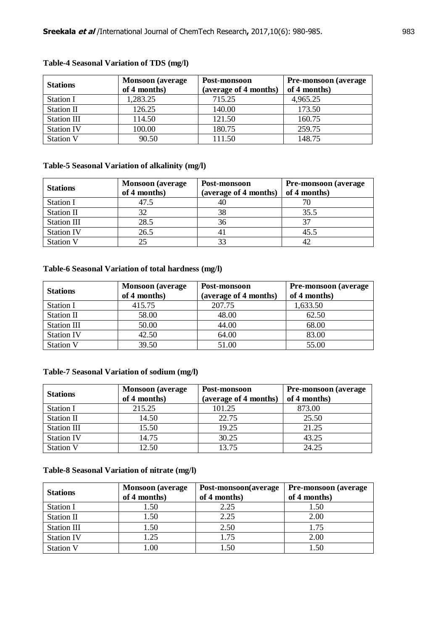| <b>Stations</b>    | <b>Monsoon</b> (average<br>of 4 months) | Post-monsoon<br>(average of 4 months) | <b>Pre-monsoon</b> (average)<br>of 4 months) |
|--------------------|-----------------------------------------|---------------------------------------|----------------------------------------------|
| Station I          | 1,283.25                                | 715.25                                | 4,965.25                                     |
| <b>Station II</b>  | 126.25                                  | 140.00                                | 173.50                                       |
| <b>Station III</b> | 114.50                                  | 121.50                                | 160.75                                       |
| <b>Station IV</b>  | 100.00                                  | 180.75                                | 259.75                                       |
| <b>Station V</b>   | 90.50                                   | 111.50                                | 148.75                                       |

## **Table-4 Seasonal Variation of TDS (mg/l)**

## **Table-5 Seasonal Variation of alkalinity (mg/l)**

| <b>Stations</b>    | <b>Monsoon</b> (average<br>of 4 months) | Post-monsoon<br>(average of 4 months) | Pre-monsoon (average<br>of 4 months) |
|--------------------|-----------------------------------------|---------------------------------------|--------------------------------------|
| <b>Station I</b>   | 47.5                                    | 40                                    |                                      |
| <b>Station II</b>  | 32                                      | 38                                    | 35.5                                 |
| <b>Station III</b> | 28.5                                    | 36                                    |                                      |
| <b>Station IV</b>  | 26.5                                    | 41                                    | 45.5                                 |
| <b>Station V</b>   | 25                                      | 33                                    |                                      |

## **Table-6 Seasonal Variation of total hardness (mg/l)**

| <b>Stations</b>   | <b>Monsoon</b> (average<br>of 4 months) | Post-monsoon<br>(average of 4 months) | <b>Pre-monsoon</b> (average<br>of 4 months) |
|-------------------|-----------------------------------------|---------------------------------------|---------------------------------------------|
| Station I         | 415.75                                  | 207.75                                | 1,633.50                                    |
| <b>Station II</b> | 58.00                                   | 48.00                                 | 62.50                                       |
| Station III       | 50.00                                   | 44.00                                 | 68.00                                       |
| <b>Station IV</b> | 42.50                                   | 64.00                                 | 83.00                                       |
| <b>Station V</b>  | 39.50                                   | 51.00                                 | 55.00                                       |

### **Table-7 Seasonal Variation of sodium (mg/l)**

| <b>Stations</b>   | <b>Monsoon</b> (average<br>of 4 months) | Post-monsoon<br>(average of 4 months) | <b>Pre-monsoon</b> (average<br>of 4 months) |
|-------------------|-----------------------------------------|---------------------------------------|---------------------------------------------|
| Station I         | 215.25                                  | 101.25                                | 873.00                                      |
| <b>Station II</b> | 14.50                                   | 22.75                                 | 25.50                                       |
| Station III       | 15.50                                   | 19.25                                 | 21.25                                       |
| <b>Station IV</b> | 14.75                                   | 30.25                                 | 43.25                                       |
| <b>Station V</b>  | 12.50                                   | 13.75                                 | 24.25                                       |

#### **Table-8 Seasonal Variation of nitrate (mg/l)**

| <b>Stations</b>    | <b>Monsoon</b> (average<br>of 4 months) | Post-monsoon(average<br>of 4 months) | <b>Pre-monsoon</b> (average)<br>of 4 months) |
|--------------------|-----------------------------------------|--------------------------------------|----------------------------------------------|
| <b>Station I</b>   | 1.50                                    | 2.25                                 | 1.50                                         |
| <b>Station II</b>  | 1.50                                    | 2.25                                 | 2.00                                         |
| <b>Station III</b> | 1.50                                    | 2.50                                 | 1.75                                         |
| <b>Station IV</b>  | 1.25                                    | 1.75                                 | 2.00                                         |
| <b>Station V</b>   | 0.00                                    | l.50                                 | 1.50                                         |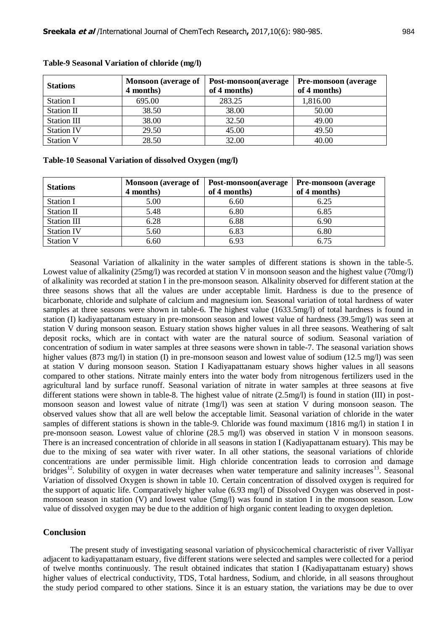| <b>Stations</b>    | <b>Monsoon</b> (average of<br>4 months) | Post-monsoon(average<br>of 4 months) | <b>Pre-monsoon</b> (average)<br>of 4 months) |
|--------------------|-----------------------------------------|--------------------------------------|----------------------------------------------|
| <b>Station I</b>   | 695.00                                  | 283.25                               | 1,816.00                                     |
| <b>Station II</b>  | 38.50                                   | 38.00                                | 50.00                                        |
| <b>Station III</b> | 38.00                                   | 32.50                                | 49.00                                        |
| <b>Station IV</b>  | 29.50                                   | 45.00                                | 49.50                                        |
| <b>Station V</b>   | 28.50                                   | 32.00                                | 40.00                                        |

#### **Table-9 Seasonal Variation of chloride (mg/l)**

#### **Table-10 Seasonal Variation of dissolved Oxygen (mg/l)**

| <b>Stations</b>    | <b>Monsoon</b> (average of<br>4 months) | Post-monsoon(average<br>of 4 months) | <b>Pre-monsoon</b> (average)<br>of 4 months) |
|--------------------|-----------------------------------------|--------------------------------------|----------------------------------------------|
| <b>Station I</b>   | 5.00                                    | 6.60                                 | 6.25                                         |
| <b>Station II</b>  | 5.48                                    | 6.80                                 | 6.85                                         |
| <b>Station III</b> | 6.28                                    | 6.88                                 | 6.90                                         |
| <b>Station IV</b>  | 5.60                                    | 6.83                                 | 6.80                                         |
| <b>Station V</b>   | 6.60                                    | 6.93                                 | 6.75                                         |

 Seasonal Variation of alkalinity in the water samples of different stations is shown in the table-5. Lowest value of alkalinity (25mg/l) was recorded at station V in monsoon season and the highest value (70mg/l) of alkalinity was recorded at station I in the pre-monsoon season. Alkalinity observed for different station at the three seasons shows that all the values are under acceptable limit. Hardness is due to the presence of bicarbonate, chloride and sulphate of calcium and magnesium ion. Seasonal variation of total hardness of water samples at three seasons were shown in table-6. The highest value (1633.5mg/l) of total hardness is found in station (I) kadiyapattanam estuary in pre-monsoon season and lowest value of hardness (39.5mg/l) was seen at station V during monsoon season. Estuary station shows higher values in all three seasons. Weathering of salt deposit rocks, which are in contact with water are the natural source of sodium. Seasonal variation of concentration of sodium in water samples at three seasons were shown in table-7. The seasonal variation shows higher values (873 mg/l) in station (I) in pre-monsoon season and lowest value of sodium (12.5 mg/l) was seen at station V during monsoon season. Station I Kadiyapattanam estuary shows higher values in all seasons compared to other stations. Nitrate mainly enters into the water body from nitrogenous fertilizers used in the agricultural land by surface runoff. Seasonal variation of nitrate in water samples at three seasons at five different stations were shown in table-8. The highest value of nitrate (2.5mg/l) is found in station (III) in postmonsoon season and lowest value of nitrate (1mg/l) was seen at station V during monsoon season. The observed values show that all are well below the acceptable limit. Seasonal variation of chloride in the water samples of different stations is shown in the table-9. Chloride was found maximum (1816 mg/l) in station I in pre-monsoon season. Lowest value of chlorine (28.5 mg/l) was observed in station V in monsoon seasons. There is an increased concentration of chloride in all seasons in station I (Kadiyapattanam estuary). This may be due to the mixing of sea water with river water. In all other stations, the seasonal variations of chloride concentrations are under permissible limit. High chloride concentration leads to corrosion and damage bridges<sup>12</sup>. Solubility of oxygen in water decreases when water temperature and salinity increases  $\frac{13}{12}$ . Seasonal Variation of dissolved Oxygen is shown in table 10. Certain concentration of dissolved oxygen is required for the support of aquatic life. Comparatively higher value (6.93 mg/l) of Dissolved Oxygen was observed in postmonsoon season in station (V) and lowest value (5mg/l) was found in station I in the monsoon season. Low value of dissolved oxygen may be due to the addition of high organic content leading to oxygen depletion.

### **Conclusion**

The present study of investigating seasonal variation of physicochemical characteristic of river Valliyar adjacent to kadiyapattanam estuary, five different stations were selected and samples were collected for a period of twelve months continuously. The result obtained indicates that station I (Kadiyapattanam estuary) shows higher values of electrical conductivity, TDS, Total hardness, Sodium, and chloride, in all seasons throughout the study period compared to other stations. Since it is an estuary station, the variations may be due to over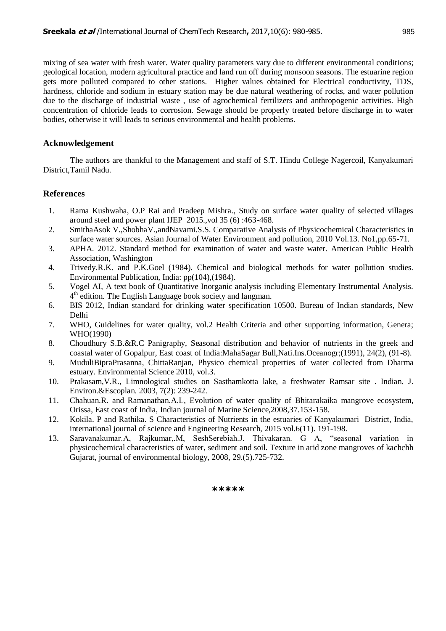mixing of sea water with fresh water. Water quality parameters vary due to different environmental conditions; geological location, modern agricultural practice and land run off during monsoon seasons. The estuarine region gets more polluted compared to other stations. Higher values obtained for Electrical conductivity, TDS, hardness, chloride and sodium in estuary station may be due natural weathering of rocks, and water pollution due to the discharge of industrial waste , use of agrochemical fertilizers and anthropogenic activities. High concentration of chloride leads to corrosion. Sewage should be properly treated before discharge in to water bodies, otherwise it will leads to serious environmental and health problems.

### **Acknowledgement**

The authors are thankful to the Management and staff of S.T. Hindu College Nagercoil, Kanyakumari District,Tamil Nadu.

### **References**

- 1. Rama Kushwaha, O.P Rai and Pradeep Mishra., Study on surface water quality of selected villages around steel and power plant IJEP 2015.,vol 35 (6) :463-468.
- 2. SmithaAsok V.,ShobhaV.,andNavami.S.S. Comparative Analysis of Physicochemical Characteristics in surface water sources. Asian Journal of Water Environment and pollution, 2010 Vol.13. No1,pp.65-71.
- 3. APHA. 2012. Standard method for examination of water and waste water. American Public Health Association, Washington
- 4. Trivedy.R.K. and P.K.Goel (1984). Chemical and biological methods for water pollution studies. Environmental Publication, India: pp(104),(1984).
- 5. Vogel AI, A text book of Quantitative Inorganic analysis including Elementary Instrumental Analysis. 4<sup>th</sup> edition. The English Language book society and langman.
- 6. BIS 2012, Indian standard for drinking water specification 10500. Bureau of Indian standards, New Delhi
- 7. WHO, Guidelines for water quality, vol.2 Health Criteria and other supporting information, Genera; WHO(1990)
- 8. Choudhury S.B.&R.C Panigraphy, Seasonal distribution and behavior of nutrients in the greek and coastal water of Gopalpur, East coast of India:MahaSagar Bull,Nati.Ins.Oceanogr;(1991), 24(2), (91-8).
- 9. MuduliBipraPrasanna, ChittaRanjan, Physico chemical properties of water collected from Dharma estuary. Environmental Science 2010, vol.3.
- 10. Prakasam,V.R., Limnological studies on Sasthamkotta lake, a freshwater Ramsar site . Indian. J. Environ.&Escoplan. 2003, 7(2): 239-242.
- 11. Chahuan.R. and Ramanathan.A.L, Evolution of water quality of Bhitarakaika mangrove ecosystem, Orissa, East coast of India, Indian journal of Marine Science,2008,37.153-158.
- 12. Kokila. P and Rathika. S Characteristics of Nutrients in the estuaries of Kanyakumari District, India, international journal of science and Engineering Research, 2015 vol.6(11). 191-198.
- 13. Saravanakumar.A, Rajkumar,.M, SeshSerebiah.J. Thivakaran. G A, "seasonal variation in physicochemical characteristics of water, sediment and soil. Texture in arid zone mangroves of kachchh Gujarat, journal of environmental biology, 2008, 29.(5).725-732.

#### **\*\*\*\*\***